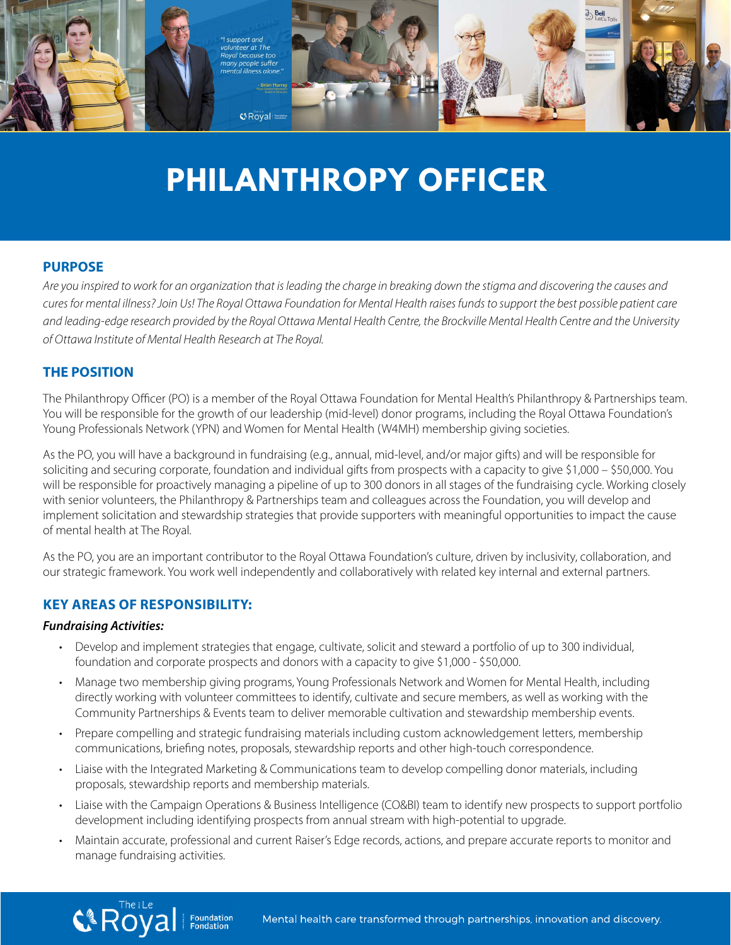

# **PHILANTHROPY OFFICER PHILANTHROPY**

# **PURPOSE PURPOSE PURPOSE**

Are you inspired to work for an organization that is leading the charge in breaking down the stigma and discovering the causes and<br>sure for mental illness? Is in Ud The Pauel Ottawn Faundation for Martal Uselth wises funda *and discovering the causes and cures for mental illness? Join Us! The Royal Ottawa Foundation for*  cures for mental illness? Join Us! The Royal Ottawa Foundation for Mental Health raises funds to support the best possible patient care and leading-edge research provided by the Royal Ottawa Mental Health Centre, the Brockville Mental Health Centre and the University *University of Ottawa Institute of Mental Health Research at The Royal. of Ottawa Institute of Mental Health Research at The Royal.* or memariliness: John os: The Royal Ottawa Foundation for Memari Fearm raises rands to support the best possible p<br>ading-edge research provided by the Royal Ottawa Mental Health Centre, the Brockville Mental Health Centre

## **THE POSITION THE POSITION THE POSITION**

nthropy Officer (PO) is a member of the Royal Ottawa Foundation for Mental Health's Philanthropy & Partners You will be responsible for the growth of our leadership (mid-level) donor programs, including the Royal Ottawa Foundation's Young Professionals Network (YPN) and Women for Mental Health (W4MH) membership giving societies. The Philanthropy Officer (PO) is a member of the Royal Ottawa Foundation for Mental Health's Philanthropy & Partnerships team. The **Philanthropy Officer** (PO) is <sup>a</sup> member of the Royal Ottawa Foundation for Mental Health's 11 I d

As the PO, you will have a background in fundraising (e.g., annual, mid-level, and/or major gifts) and will be responsible for soliciting and securing corporate, foundation and individual gifts from prospects with a capacity to give \$1,000 - \$50,000. You will be responsible for proactively managing a pipeline of up to 300 donors in all stages of the fundraising cycle. Working closely<br>with senior volunteers, the Philanthropy & Partnerships team and colleagues across the Fou with senior volunteers, the Philanthropy & Partnerships team and colleagues across the Foundation, you will develop and  $\mathbf{P}$  are respectively the Foundation team and collective across the Foundation, you will develop and implement solicitation, and impact the  $\mathbf{P}$ individual contribution and stewardship strategies that provide supporters with meaningful opportunities to impact the cause<br>Implement solicitation and stewardship strategies that provide supporters with meaningful opportu mental health at The Royal. of mental health at The Royal. ment south stewardship strategies that provide supporters memberingful opportunities to impact the ca<br>atal bealth at The Davel

or memarmeann at me Royar.<br>As the PO, you are an important contributor to the Royal Ottawa Foundation's culture, driven by inclusivity, collaboration, and our strategic framework. You work well independently and collaboratively with related key internal and external partners.

## **KEY AREAS OF RESPONSIBILITY:**

## *Fundraising Activities:*

- **•** Develop and implement strategies that engage, cultivate, solicit and steward a portfolio of up to 300 individual, foundation and corporate prospects and donors with a capacity to give \$1,000 - \$50,000.
- Develop and implement strategies that engage, cultivate, solicit and steward <sup>a</sup> portfolio of up to 300 • Manage two membership giving programs, Young Professionals Network and Women for Mental Health, including directly working with volunteer committees to identify, cultivate and secure members, as well as working with the Community Partnerships & Events team to deliver memorable cultivation and stewardship membership events. Develop and implement strategies that engage, cultivate, solicit and steward <sup>a</sup> portfolio of up to 300 age two membership giving programs, Young Professionals Network and Women for Mental Health, including
- working with the Community Partnership are shorted to deliver memorable cultivation and the Community Partnership Prepare compelling and strategic fundraising materials including custom acknowledgement letters, membership riepare competing and strategic rundraising materials including custom acknowledgement letters, membership<br>communications, briefing notes, proposals, stewardship reports and other high-touch correspondence.<br>I jaise with th
- Liaise with the Integrated Marketing & Communications team to develop compelling donor materials, including proposals, stewardship reports and membership materials. Liaise with the Integrated Marketing & Communications team to develop compelling donor materials,
- prepeadly sterratesing reports and membersing matemals.<br>• Liaise with the Campaign Operations & Business Intelligence (CO&BI) team to identify new prospects to support portfolio development including identifying prospects from annual stream with high-potential to upgrade.
- support portfolio development including identifying prospects from annualstream with high potential to • Maintain accurate, professional and current Raiser's Edge records, actions, and prepare accurate reports to monitor and manage fundraising activities. The correct records, actions, actions, and prepare accurate reports to the prepar  $\frac{1}{2}$ Magine accuration accurates. Professional current Raiser's records, actions, actions, actions, actions, actions, actions, activities. The cords, activities of the cords, activities of the cords, activities of the cords, ac